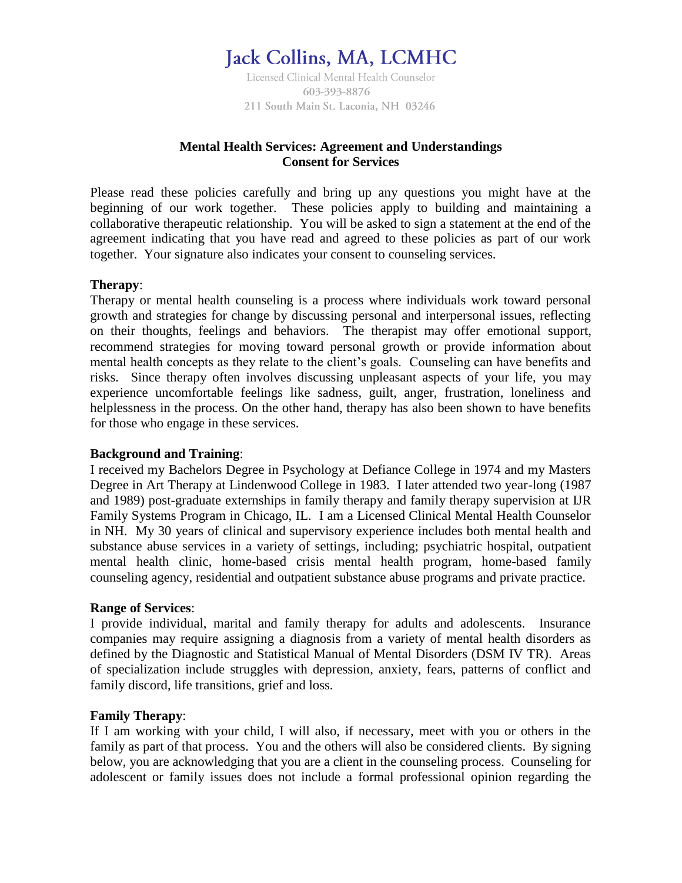# **Jack Collins, MA, LCMHC**

Licensed Clinical Mental Health Counselor 603-393-8876 211 South Main St. Laconia, NH 03246

## **Mental Health Services: Agreement and Understandings Consent for Services**

Please read these policies carefully and bring up any questions you might have at the beginning of our work together. These policies apply to building and maintaining a collaborative therapeutic relationship. You will be asked to sign a statement at the end of the agreement indicating that you have read and agreed to these policies as part of our work together. Your signature also indicates your consent to counseling services.

## **Therapy**:

Therapy or mental health counseling is a process where individuals work toward personal growth and strategies for change by discussing personal and interpersonal issues, reflecting on their thoughts, feelings and behaviors. The therapist may offer emotional support, recommend strategies for moving toward personal growth or provide information about mental health concepts as they relate to the client's goals. Counseling can have benefits and risks. Since therapy often involves discussing unpleasant aspects of your life, you may experience uncomfortable feelings like sadness, guilt, anger, frustration, loneliness and helplessness in the process. On the other hand, therapy has also been shown to have benefits for those who engage in these services.

## **Background and Training**:

I received my Bachelors Degree in Psychology at Defiance College in 1974 and my Masters Degree in Art Therapy at Lindenwood College in 1983. I later attended two year-long (1987 and 1989) post-graduate externships in family therapy and family therapy supervision at IJR Family Systems Program in Chicago, IL. I am a Licensed Clinical Mental Health Counselor in NH. My 30 years of clinical and supervisory experience includes both mental health and substance abuse services in a variety of settings, including; psychiatric hospital, outpatient mental health clinic, home-based crisis mental health program, home-based family counseling agency, residential and outpatient substance abuse programs and private practice.

#### **Range of Services**:

I provide individual, marital and family therapy for adults and adolescents. Insurance companies may require assigning a diagnosis from a variety of mental health disorders as defined by the Diagnostic and Statistical Manual of Mental Disorders (DSM IV TR). Areas of specialization include struggles with depression, anxiety, fears, patterns of conflict and family discord, life transitions, grief and loss.

## **Family Therapy**:

If I am working with your child, I will also, if necessary, meet with you or others in the family as part of that process. You and the others will also be considered clients. By signing below, you are acknowledging that you are a client in the counseling process. Counseling for adolescent or family issues does not include a formal professional opinion regarding the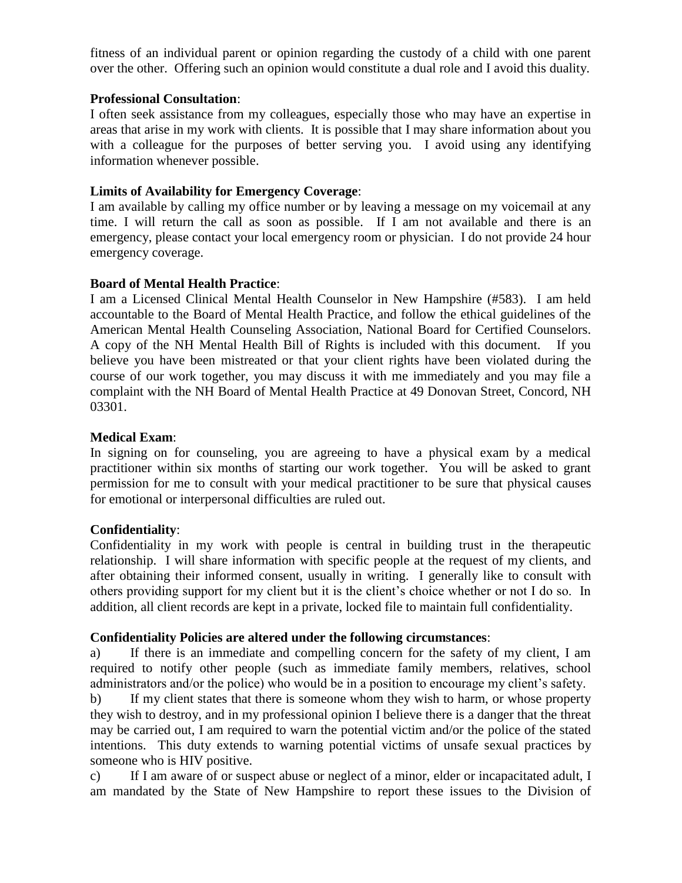fitness of an individual parent or opinion regarding the custody of a child with one parent over the other. Offering such an opinion would constitute a dual role and I avoid this duality.

## **Professional Consultation**:

I often seek assistance from my colleagues, especially those who may have an expertise in areas that arise in my work with clients. It is possible that I may share information about you with a colleague for the purposes of better serving you. I avoid using any identifying information whenever possible.

## **Limits of Availability for Emergency Coverage**:

I am available by calling my office number or by leaving a message on my voicemail at any time. I will return the call as soon as possible. If I am not available and there is an emergency, please contact your local emergency room or physician. I do not provide 24 hour emergency coverage.

## **Board of Mental Health Practice**:

I am a Licensed Clinical Mental Health Counselor in New Hampshire (#583). I am held accountable to the Board of Mental Health Practice, and follow the ethical guidelines of the American Mental Health Counseling Association, National Board for Certified Counselors. A copy of the NH Mental Health Bill of Rights is included with this document. If you believe you have been mistreated or that your client rights have been violated during the course of our work together, you may discuss it with me immediately and you may file a complaint with the NH Board of Mental Health Practice at 49 Donovan Street, Concord, NH 03301.

## **Medical Exam**:

In signing on for counseling, you are agreeing to have a physical exam by a medical practitioner within six months of starting our work together. You will be asked to grant permission for me to consult with your medical practitioner to be sure that physical causes for emotional or interpersonal difficulties are ruled out.

## **Confidentiality**:

Confidentiality in my work with people is central in building trust in the therapeutic relationship. I will share information with specific people at the request of my clients, and after obtaining their informed consent, usually in writing. I generally like to consult with others providing support for my client but it is the client's choice whether or not I do so. In addition, all client records are kept in a private, locked file to maintain full confidentiality.

## **Confidentiality Policies are altered under the following circumstances**:

If there is an immediate and compelling concern for the safety of my client, I am required to notify other people (such as immediate family members, relatives, school administrators and/or the police) who would be in a position to encourage my client's safety.

b) If my client states that there is someone whom they wish to harm, or whose property they wish to destroy, and in my professional opinion I believe there is a danger that the threat may be carried out, I am required to warn the potential victim and/or the police of the stated intentions. This duty extends to warning potential victims of unsafe sexual practices by someone who is HIV positive.

c) If I am aware of or suspect abuse or neglect of a minor, elder or incapacitated adult, I am mandated by the State of New Hampshire to report these issues to the Division of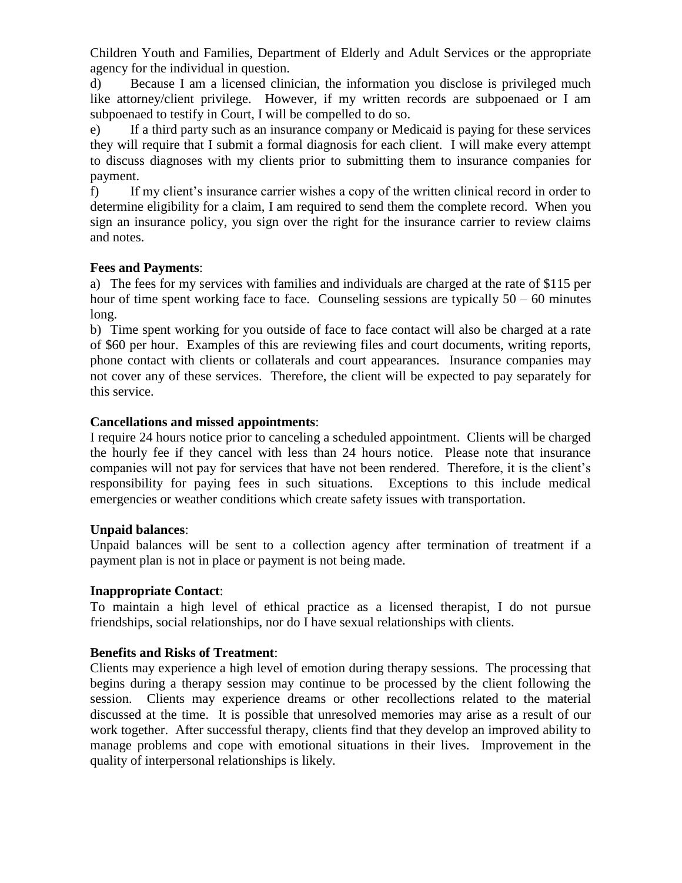Children Youth and Families, Department of Elderly and Adult Services or the appropriate agency for the individual in question.

d) Because I am a licensed clinician, the information you disclose is privileged much like attorney/client privilege. However, if my written records are subpoenaed or I am subpoenaed to testify in Court, I will be compelled to do so.

e) If a third party such as an insurance company or Medicaid is paying for these services they will require that I submit a formal diagnosis for each client. I will make every attempt to discuss diagnoses with my clients prior to submitting them to insurance companies for payment.

f) If my client's insurance carrier wishes a copy of the written clinical record in order to determine eligibility for a claim, I am required to send them the complete record. When you sign an insurance policy, you sign over the right for the insurance carrier to review claims and notes.

## **Fees and Payments**:

a) The fees for my services with families and individuals are charged at the rate of \$115 per hour of time spent working face to face. Counseling sessions are typically  $50 - 60$  minutes long.

b) Time spent working for you outside of face to face contact will also be charged at a rate of \$60 per hour. Examples of this are reviewing files and court documents, writing reports, phone contact with clients or collaterals and court appearances. Insurance companies may not cover any of these services. Therefore, the client will be expected to pay separately for this service.

## **Cancellations and missed appointments**:

I require 24 hours notice prior to canceling a scheduled appointment. Clients will be charged the hourly fee if they cancel with less than 24 hours notice. Please note that insurance companies will not pay for services that have not been rendered. Therefore, it is the client's responsibility for paying fees in such situations. Exceptions to this include medical emergencies or weather conditions which create safety issues with transportation.

## **Unpaid balances**:

Unpaid balances will be sent to a collection agency after termination of treatment if a payment plan is not in place or payment is not being made.

## **Inappropriate Contact**:

To maintain a high level of ethical practice as a licensed therapist, I do not pursue friendships, social relationships, nor do I have sexual relationships with clients.

## **Benefits and Risks of Treatment**:

Clients may experience a high level of emotion during therapy sessions. The processing that begins during a therapy session may continue to be processed by the client following the session. Clients may experience dreams or other recollections related to the material discussed at the time. It is possible that unresolved memories may arise as a result of our work together. After successful therapy, clients find that they develop an improved ability to manage problems and cope with emotional situations in their lives. Improvement in the quality of interpersonal relationships is likely.